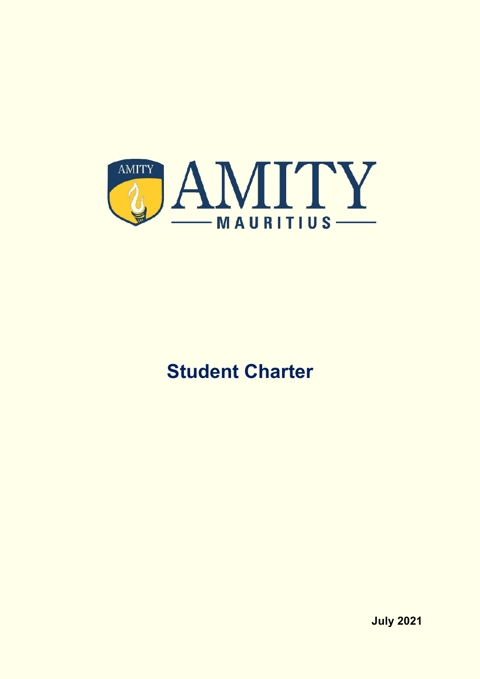

# **Student Charter**

**July 2021**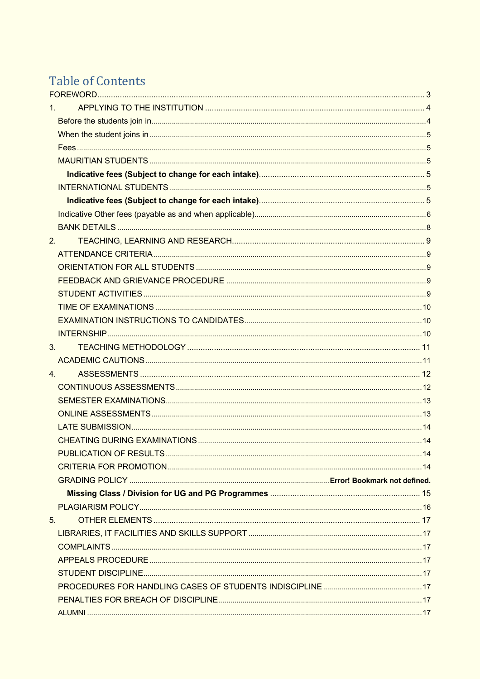# Table of Contents

| $1_{-}$          |  |
|------------------|--|
|                  |  |
|                  |  |
|                  |  |
|                  |  |
|                  |  |
|                  |  |
|                  |  |
|                  |  |
|                  |  |
| 2.               |  |
|                  |  |
|                  |  |
|                  |  |
|                  |  |
|                  |  |
|                  |  |
|                  |  |
| 3.               |  |
|                  |  |
| $\overline{4}$ . |  |
|                  |  |
|                  |  |
|                  |  |
|                  |  |
|                  |  |
|                  |  |
|                  |  |
|                  |  |
|                  |  |
|                  |  |
| 5 <sub>1</sub>   |  |
|                  |  |
|                  |  |
|                  |  |
|                  |  |
|                  |  |
|                  |  |
|                  |  |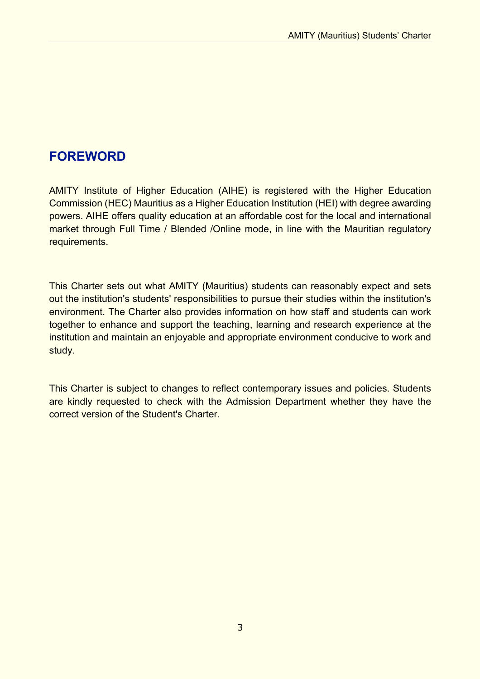# **FOREWORD**

AMITY Institute of Higher Education (AIHE) is registered with the Higher Education Commission (HEC) Mauritius as a Higher Education Institution (HEI) with degree awarding powers. AIHE offers quality education at an affordable cost for the local and international market through Full Time / Blended /Online mode, in line with the Mauritian regulatory requirements.

This Charter sets out what AMITY (Mauritius) students can reasonably expect and sets out the institution's students' responsibilities to pursue their studies within the institution's environment. The Charter also provides information on how staff and students can work together to enhance and support the teaching, learning and research experience at the institution and maintain an enjoyable and appropriate environment conducive to work and study.

This Charter is subject to changes to reflect contemporary issues and policies. Students are kindly requested to check with the Admission Department whether they have the correct version of the Student's Charter.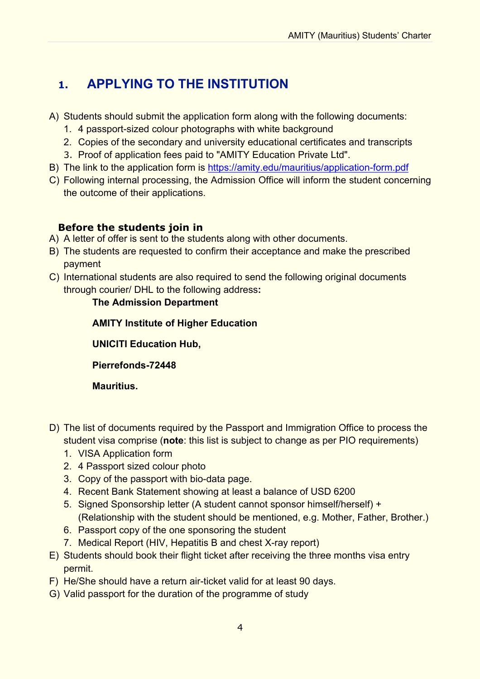# **1. APPLYING TO THE INSTITUTION**

- A) Students should submit the application form along with the following documents:
	- 1. 4 passport-sized colour photographs with white background
	- 2. Copies of the secondary and university educational certificates and transcripts
	- 3. Proof of application fees paid to "AMITY Education Private Ltd".
- B) The link to the application form is https://amity.edu/mauritius/application-form.pdf
- C) Following internal processing, the Admission Office will inform the student concerning the outcome of their applications.

### **Before the students join in**

- A) A letter of offer is sent to the students along with other documents.
- B) The students are requested to confirm their acceptance and make the prescribed payment
- C) International students are also required to send the following original documents through courier/ DHL to the following address**:**

### **The Admission Department**

**AMITY Institute of Higher Education**

**UNICITI Education Hub,**

**Pierrefonds-72448**

**Mauritius.**

- D) The list of documents required by the Passport and Immigration Office to process the student visa comprise (**note**: this list is subject to change as per PIO requirements)
	- 1. VISA Application form
	- 2. 4 Passport sized colour photo
	- 3. Copy of the passport with bio-data page.
	- 4. Recent Bank Statement showing at least a balance of USD 6200
	- 5. Signed Sponsorship letter (A student cannot sponsor himself/herself) + (Relationship with the student should be mentioned, e.g. Mother, Father, Brother.)
	- 6. Passport copy of the one sponsoring the student
	- 7. Medical Report (HIV, Hepatitis B and chest X-ray report)
- E) Students should book their flight ticket after receiving the three months visa entry permit.
- F) He/She should have a return air-ticket valid for at least 90 days.
- G) Valid passport for the duration of the programme of study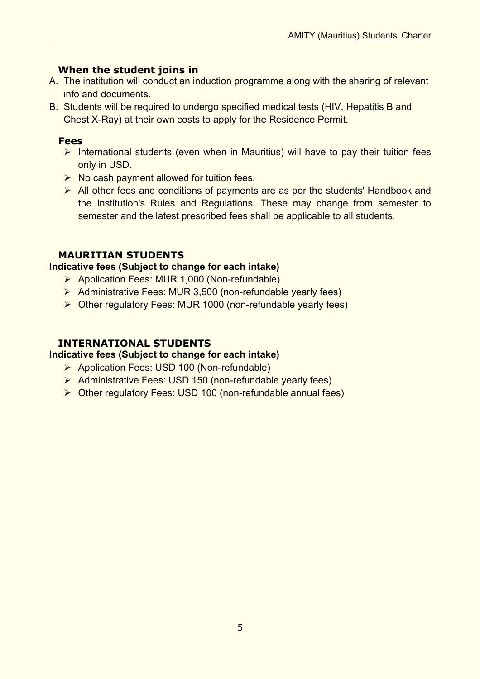### **When the student joins in**

- A. The institution will conduct an induction programme along with the sharing of relevant info and documents.
- B. Students will be required to undergo specified medical tests (HIV, Hepatitis B and Chest X-Ray) at their own costs to apply for the Residence Permit.

### **Fees**

- $\triangleright$  International students (even when in Mauritius) will have to pay their tuition fees only in USD.
- $\triangleright$  No cash payment allowed for tuition fees.
- $\triangleright$  All other fees and conditions of payments are as per the students' Handbook and the Institution's Rules and Regulations. These may change from semester to semester and the latest prescribed fees shall be applicable to all students.

### **MAURITIAN STUDENTS**

#### **Indicative fees (Subject to change for each intake)**

- Ø Application Fees: MUR 1,000 (Non-refundable)
- Ø Administrative Fees: MUR 3,500 (non-refundable yearly fees)
- $\triangleright$  Other regulatory Fees: MUR 1000 (non-refundable yearly fees)

### **INTERNATIONAL STUDENTS**

#### **Indicative fees (Subject to change for each intake)**

- Ø Application Fees: USD 100 (Non-refundable)
- Ø Administrative Fees: USD 150 (non-refundable yearly fees)
- $\triangleright$  Other regulatory Fees: USD 100 (non-refundable annual fees)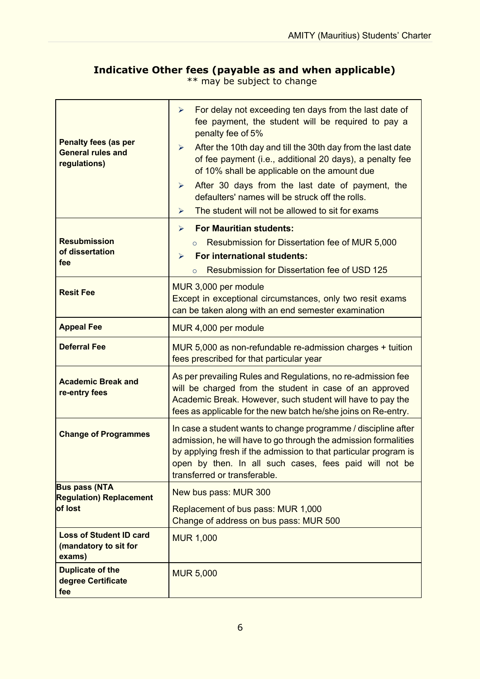## **Indicative Other fees (payable as and when applicable)**

\*\* may be subject to change

| <b>Penalty fees (as per</b><br><b>General rules and</b><br>regulations)                                                                                      | For delay not exceeding ten days from the last date of<br>➤<br>fee payment, the student will be required to pay a<br>penalty fee of 5%<br>After the 10th day and till the 30th day from the last date<br>$\blacktriangleright$<br>of fee payment (i.e., additional 20 days), a penalty fee<br>of 10% shall be applicable on the amount due<br>After 30 days from the last date of payment, the<br>$\blacktriangleright$<br>defaulters' names will be struck off the rolls.<br>The student will not be allowed to sit for exams<br>➤ |  |
|--------------------------------------------------------------------------------------------------------------------------------------------------------------|-------------------------------------------------------------------------------------------------------------------------------------------------------------------------------------------------------------------------------------------------------------------------------------------------------------------------------------------------------------------------------------------------------------------------------------------------------------------------------------------------------------------------------------|--|
|                                                                                                                                                              | <b>For Mauritian students:</b><br>➤                                                                                                                                                                                                                                                                                                                                                                                                                                                                                                 |  |
| <b>Resubmission</b><br>of dissertation                                                                                                                       | Resubmission for Dissertation fee of MUR 5,000<br>$\circ$<br><b>For international students:</b><br>➤                                                                                                                                                                                                                                                                                                                                                                                                                                |  |
| fee                                                                                                                                                          | <b>Resubmission for Dissertation fee of USD 125</b><br>$\circ$                                                                                                                                                                                                                                                                                                                                                                                                                                                                      |  |
| MUR 3,000 per module<br><b>Resit Fee</b><br>Except in exceptional circumstances, only two resit exams<br>can be taken along with an end semester examination |                                                                                                                                                                                                                                                                                                                                                                                                                                                                                                                                     |  |
| <b>Appeal Fee</b>                                                                                                                                            | MUR 4,000 per module                                                                                                                                                                                                                                                                                                                                                                                                                                                                                                                |  |
| <b>Deferral Fee</b>                                                                                                                                          | MUR 5,000 as non-refundable re-admission charges + tuition<br>fees prescribed for that particular year                                                                                                                                                                                                                                                                                                                                                                                                                              |  |
| <b>Academic Break and</b><br>re-entry fees                                                                                                                   | As per prevailing Rules and Regulations, no re-admission fee<br>will be charged from the student in case of an approved<br>Academic Break. However, such student will have to pay the<br>fees as applicable for the new batch he/she joins on Re-entry.                                                                                                                                                                                                                                                                             |  |
| <b>Change of Programmes</b>                                                                                                                                  | In case a student wants to change programme / discipline after<br>admission, he will have to go through the admission formalities<br>by applying fresh if the admission to that particular program is<br>open by then. In all such cases, fees paid will not be<br>transferred or transferable.                                                                                                                                                                                                                                     |  |
| <b>Bus pass (NTA</b><br><b>Regulation) Replacement</b>                                                                                                       | New bus pass: MUR 300                                                                                                                                                                                                                                                                                                                                                                                                                                                                                                               |  |
| of lost                                                                                                                                                      | Replacement of bus pass: MUR 1,000<br>Change of address on bus pass: MUR 500                                                                                                                                                                                                                                                                                                                                                                                                                                                        |  |
| <b>Loss of Student ID card</b><br>(mandatory to sit for<br>exams)                                                                                            | <b>MUR 1,000</b>                                                                                                                                                                                                                                                                                                                                                                                                                                                                                                                    |  |
| <b>Duplicate of the</b><br>degree Certificate<br>fee                                                                                                         | <b>MUR 5,000</b>                                                                                                                                                                                                                                                                                                                                                                                                                                                                                                                    |  |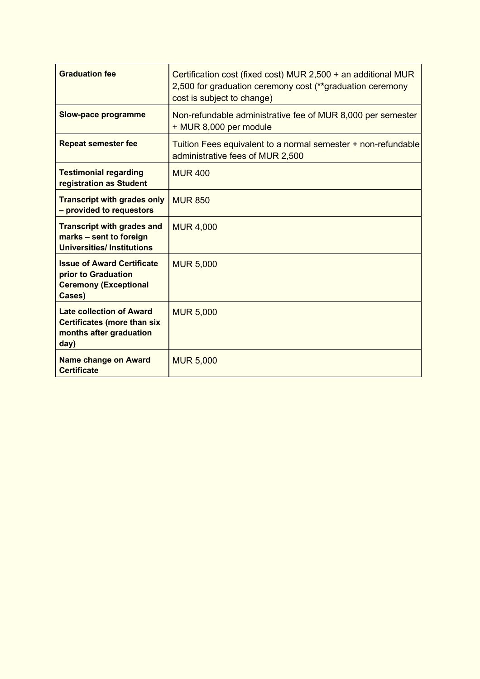| <b>Graduation fee</b>                                                                                    | Certification cost (fixed cost) MUR 2,500 + an additional MUR<br>2,500 for graduation ceremony cost (**graduation ceremony<br>cost is subject to change) |
|----------------------------------------------------------------------------------------------------------|----------------------------------------------------------------------------------------------------------------------------------------------------------|
| <b>Slow-pace programme</b>                                                                               | Non-refundable administrative fee of MUR 8,000 per semester<br>+ MUR 8,000 per module                                                                    |
| <b>Repeat semester fee</b>                                                                               | Tuition Fees equivalent to a normal semester + non-refundable<br>administrative fees of MUR 2,500                                                        |
| <b>Testimonial regarding</b><br>registration as Student                                                  | <b>MUR400</b>                                                                                                                                            |
| <b>Transcript with grades only</b><br>- provided to requestors                                           | <b>MUR 850</b>                                                                                                                                           |
| <b>Transcript with grades and</b><br>marks - sent to foreign<br><b>Universities/Institutions</b>         | <b>MUR 4,000</b>                                                                                                                                         |
| <b>Issue of Award Certificate</b><br>prior to Graduation<br><b>Ceremony (Exceptional</b><br>Cases)       | <b>MUR 5,000</b>                                                                                                                                         |
| <b>Late collection of Award</b><br><b>Certificates (more than six</b><br>months after graduation<br>day) | <b>MUR 5,000</b>                                                                                                                                         |
| <b>Name change on Award</b><br><b>Certificate</b>                                                        | <b>MUR 5,000</b>                                                                                                                                         |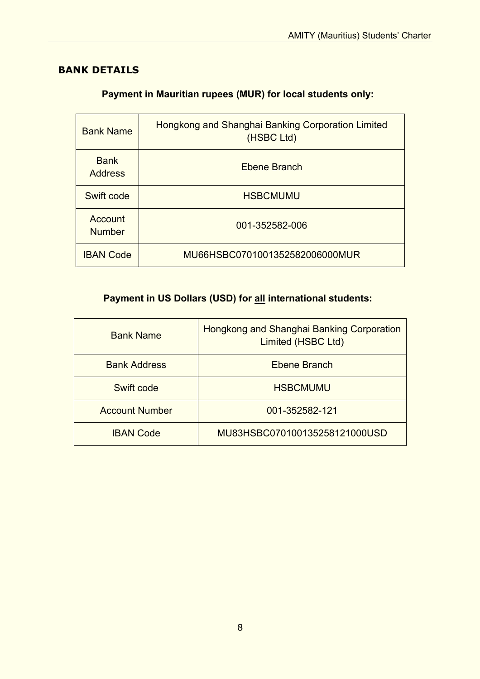# **BANK DETAILS**

| <b>Bank Name</b>              | Hongkong and Shanghai Banking Corporation Limited<br>(HSBC Ltd) |
|-------------------------------|-----------------------------------------------------------------|
| <b>Bank</b><br><b>Address</b> | Ebene Branch                                                    |
| Swift code                    | <b>HSBCMUMU</b>                                                 |
| Account<br><b>Number</b>      | 001-352582-006                                                  |
| <b>IBAN Code</b>              | MU66HSBC0701001352582006000MUR                                  |

## **Payment in Mauritian rupees (MUR) for local students only:**

# **Payment in US Dollars (USD) for all international students:**

| <b>Bank Name</b>      | <b>Hongkong and Shanghai Banking Corporation</b><br>Limited (HSBC Ltd) |
|-----------------------|------------------------------------------------------------------------|
| <b>Bank Address</b>   | Ebene Branch                                                           |
| Swift code            | <b>HSBCMUMU</b>                                                        |
| <b>Account Number</b> | 001-352582-121                                                         |
| <b>IBAN Code</b>      | MU83HSBC070100135258121000USD                                          |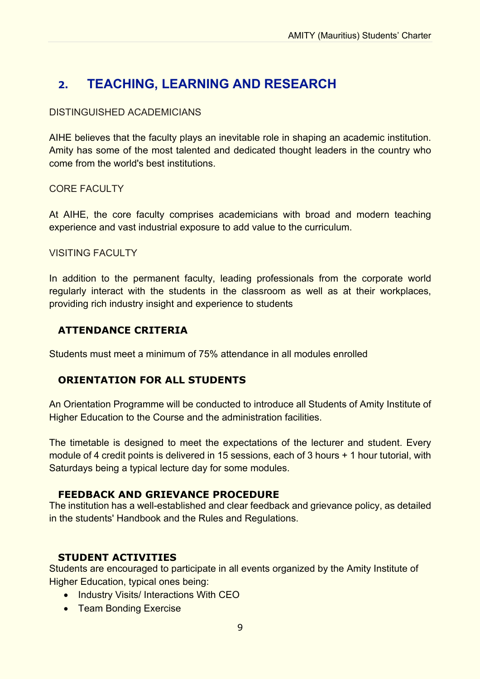# **2. TEACHING, LEARNING AND RESEARCH**

#### DISTINGUISHED ACADEMICIANS

AIHE believes that the faculty plays an inevitable role in shaping an academic institution. Amity has some of the most talented and dedicated thought leaders in the country who come from the world's best institutions.

#### CORE FACULTY

At AIHE, the core faculty comprises academicians with broad and modern teaching experience and vast industrial exposure to add value to the curriculum.

#### **VISITING FACULTY**

In addition to the permanent faculty, leading professionals from the corporate world regularly interact with the students in the classroom as well as at their workplaces, providing rich industry insight and experience to students

### **ATTENDANCE CRITERIA**

Students must meet a minimum of 75% attendance in all modules enrolled

### **ORIENTATION FOR ALL STUDENTS**

An Orientation Programme will be conducted to introduce all Students of Amity Institute of Higher Education to the Course and the administration facilities.

The timetable is designed to meet the expectations of the lecturer and student. Every module of 4 credit points is delivered in 15 sessions, each of 3 hours + 1 hour tutorial, with Saturdays being a typical lecture day for some modules.

#### **FEEDBACK AND GRIEVANCE PROCEDURE**

The institution has a well-established and clear feedback and grievance policy, as detailed in the students' Handbook and the Rules and Regulations.

### **STUDENT ACTIVITIES**

Students are encouraged to participate in all events organized by the Amity Institute of Higher Education, typical ones being:

- Industry Visits/ Interactions With CEO
- Team Bonding Exercise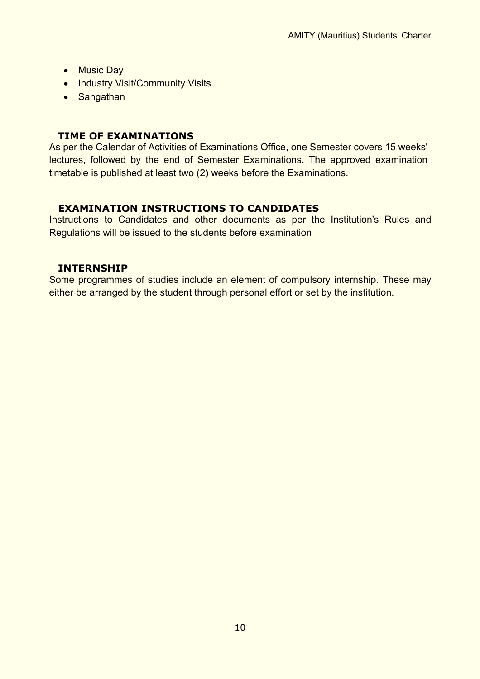- Music Day
- Industry Visit/Community Visits
- Sangathan

### **TIME OF EXAMINATIONS**

As per the Calendar of Activities of Examinations Office, one Semester covers 15 weeks' lectures, followed by the end of Semester Examinations. The approved examination timetable is published at least two (2) weeks before the Examinations.

### **EXAMINATION INSTRUCTIONS TO CANDIDATES**

Instructions to Candidates and other documents as per the Institution's Rules and Regulations will be issued to the students before examination

### **INTERNSHIP**

Some programmes of studies include an element of compulsory internship. These may either be arranged by the student through personal effort or set by the institution.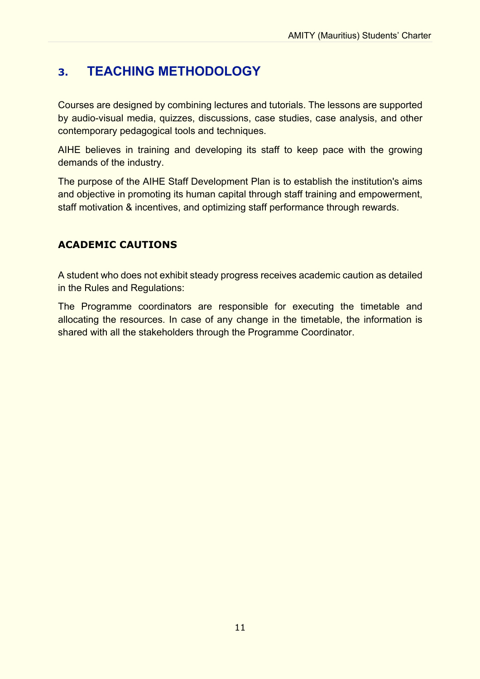# **3. TEACHING METHODOLOGY**

Courses are designed by combining lectures and tutorials. The lessons are supported by audio-visual media, quizzes, discussions, case studies, case analysis, and other contemporary pedagogical tools and techniques.

AIHE believes in training and developing its staff to keep pace with the growing demands of the industry.

The purpose of the AIHE Staff Development Plan is to establish the institution's aims and objective in promoting its human capital through staff training and empowerment, staff motivation & incentives, and optimizing staff performance through rewards.

# **ACADEMIC CAUTIONS**

A student who does not exhibit steady progress receives academic caution as detailed in the Rules and Regulations:

The Programme coordinators are responsible for executing the timetable and allocating the resources. In case of any change in the timetable, the information is shared with all the stakeholders through the Programme Coordinator.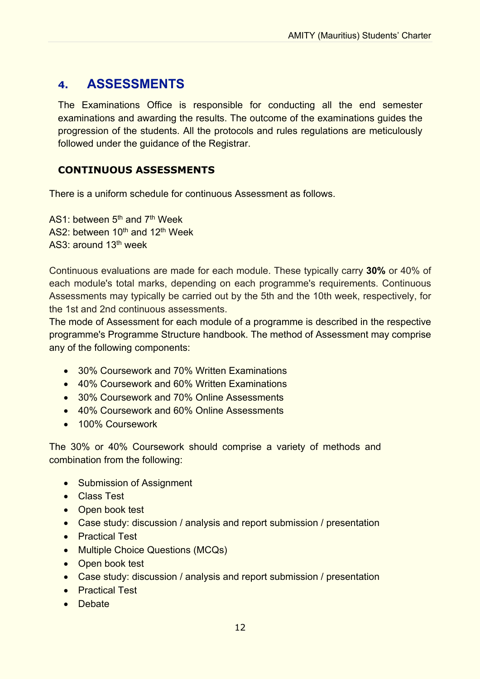# **4. ASSESSMENTS**

The Examinations Office is responsible for conducting all the end semester examinations and awarding the results. The outcome of the examinations guides the progression of the students. All the protocols and rules regulations are meticulously followed under the guidance of the Registrar.

## **CONTINUOUS ASSESSMENTS**

There is a uniform schedule for continuous Assessment as follows.

AS1: between 5<sup>th</sup> and 7<sup>th</sup> Week AS2: between 10<sup>th</sup> and 12<sup>th</sup> Week AS3: around 13<sup>th</sup> week

Continuous evaluations are made for each module. These typically carry **30%** or 40% of each module's total marks, depending on each programme's requirements. Continuous Assessments may typically be carried out by the 5th and the 10th week, respectively, for the 1st and 2nd continuous assessments.

The mode of Assessment for each module of a programme is described in the respective programme's Programme Structure handbook. The method of Assessment may comprise any of the following components:

- 30% Coursework and 70% Written Examinations
- 40% Coursework and 60% Written Examinations
- 30% Coursework and 70% Online Assessments
- 40% Coursework and 60% Online Assessments
- 100% Coursework

The 30% or 40% Coursework should comprise a variety of methods and combination from the following:

- Submission of Assignment
- Class Test
- Open book test
- Case study: discussion / analysis and report submission / presentation
- Practical Test
- Multiple Choice Questions (MCQs)
- Open book test
- Case study: discussion / analysis and report submission / presentation
- **•** Practical Test
- Debate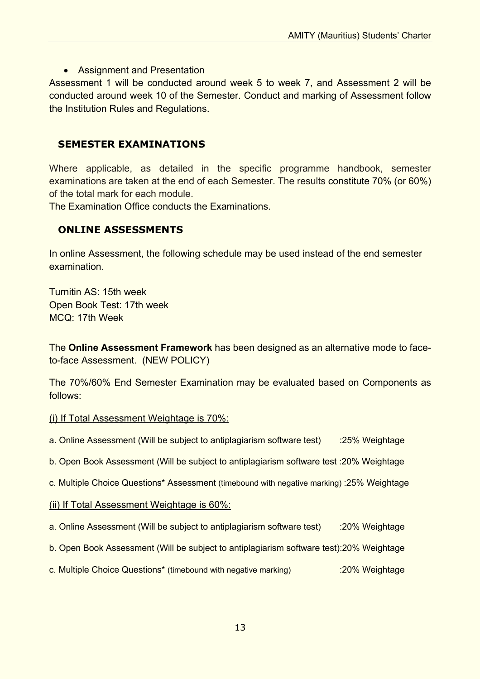#### • Assignment and Presentation

Assessment 1 will be conducted around week 5 to week 7, and Assessment 2 will be conducted around week 10 of the Semester. Conduct and marking of Assessment follow the Institution Rules and Regulations.

#### **SEMESTER EXAMINATIONS**

Where applicable, as detailed in the specific programme handbook, semester examinations are taken at the end of each Semester. The results constitute 70% (or 60%) of the total mark for each module.

The Examination Office conducts the Examinations.

#### **ONLINE ASSESSMENTS**

In online Assessment, the following schedule may be used instead of the end semester examination.

Turnitin AS: 15th week Open Book Test: 17th week MCQ: 17th Week

The **Online Assessment Framework** has been designed as an alternative mode to faceto-face Assessment. (NEW POLICY)

The 70%/60% End Semester Examination may be evaluated based on Components as follows:

#### (i) If Total Assessment Weightage is 70%:

- a. Online Assessment (Will be subject to antiplagiarism software test) :25% Weightage
- b. Open Book Assessment (Will be subject to antiplagiarism software test :20% Weightage
- c. Multiple Choice Questions\* Assessment (timebound with negative marking) :25% Weightage
- (ii) If Total Assessment Weightage is 60%:
- a. Online Assessment (Will be subject to antiplagiarism software test) :20% Weightage
- b. Open Book Assessment (Will be subject to antiplagiarism software test):20% Weightage
- c. Multiple Choice Questions\* (timebound with negative marking) :20% Weightage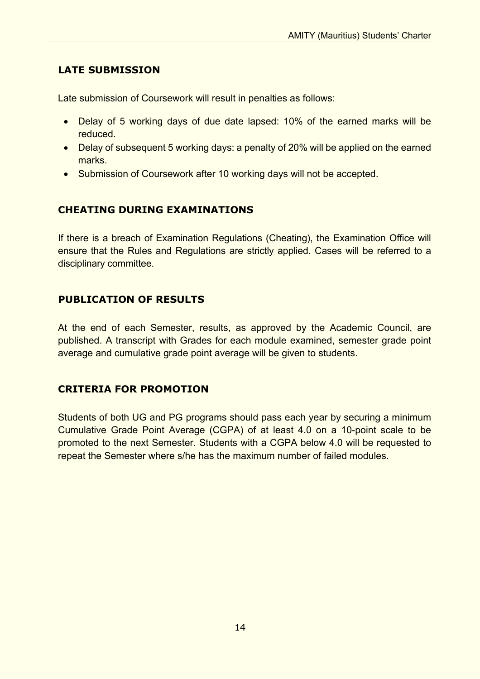### **LATE SUBMISSION**

Late submission of Coursework will result in penalties as follows:

- Delay of 5 working days of due date lapsed: 10% of the earned marks will be reduced.
- Delay of subsequent 5 working days: a penalty of 20% will be applied on the earned marks.
- Submission of Coursework after 10 working days will not be accepted.

### **CHEATING DURING EXAMINATIONS**

If there is a breach of Examination Regulations (Cheating), the Examination Office will ensure that the Rules and Regulations are strictly applied. Cases will be referred to a disciplinary committee.

### **PUBLICATION OF RESULTS**

At the end of each Semester, results, as approved by the Academic Council, are published. A transcript with Grades for each module examined, semester grade point average and cumulative grade point average will be given to students.

### **CRITERIA FOR PROMOTION**

Students of both UG and PG programs should pass each year by securing a minimum Cumulative Grade Point Average (CGPA) of at least 4.0 on a 10-point scale to be promoted to the next Semester. Students with a CGPA below 4.0 will be requested to repeat the Semester where s/he has the maximum number of failed modules.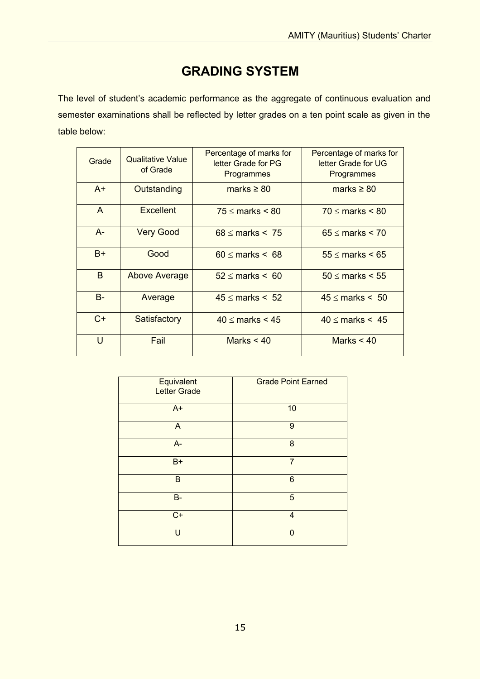# **GRADING SYSTEM**

The level of student's academic performance as the aggregate of continuous evaluation and semester examinations shall be reflected by letter grades on a ten point scale as given in the table below:

| Grade     | <b>Qualitative Value</b><br>of Grade | Percentage of marks for<br>letter Grade for PG<br>Programmes | Percentage of marks for<br>letter Grade for UG<br>Programmes |
|-----------|--------------------------------------|--------------------------------------------------------------|--------------------------------------------------------------|
| $A+$      | Outstanding                          | marks $\geq 80$                                              | marks $\geq 80$                                              |
| A         | <b>Excellent</b>                     | $75 \leq$ marks $\leq 80$                                    | $70 \leq$ marks $\leq 80$                                    |
| $A-$      | <b>Very Good</b>                     | $68 \leq$ marks $\leq 75$                                    | $65 \leq$ marks $\leq 70$                                    |
| $B+$      | Good                                 | $60 \leq$ marks $\leq 68$                                    | $55 \leq$ marks $\leq 65$                                    |
| B         | <b>Above Average</b>                 | $52 \leq$ marks $\leq 60$                                    | $50 \leq$ marks $\leq 55$                                    |
| <b>B-</b> | Average                              | $45 \leq$ marks $\leq 52$                                    | $45 \leq$ marks $\leq 50$                                    |
| $C+$      | Satisfactory                         | $40 \leq$ marks $\leq 45$                                    | $40 \leq$ marks $\leq 45$                                    |
| $\cup$    | Fail                                 | Marks $< 40$                                                 | Marks $< 40$                                                 |

| Equivalent<br><b>Letter Grade</b> | <b>Grade Point Earned</b> |
|-----------------------------------|---------------------------|
| $A+$                              | 10                        |
| A                                 | 9                         |
| $A-$                              | 8                         |
| $B+$                              | $\overline{7}$            |
| B                                 | 6                         |
| <b>B-</b>                         | 5                         |
| $C+$                              | $\overline{4}$            |
| U                                 | $\Omega$                  |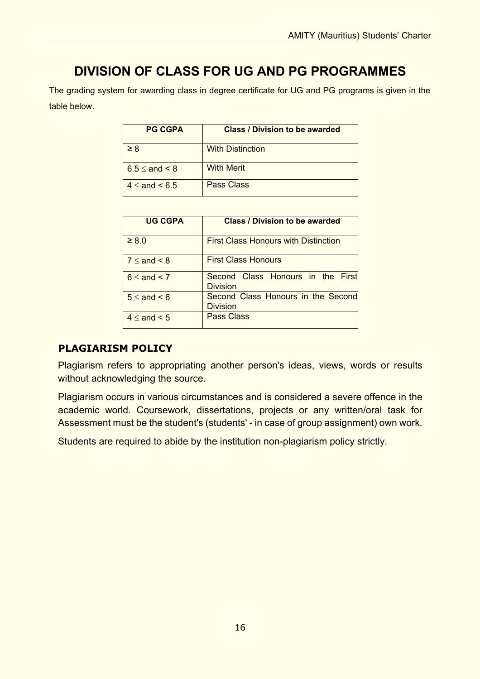# **DIVISION OF CLASS FOR UG AND PG PROGRAMMES**

The grading system for awarding class in degree certificate for UG and PG programs is given in the table below.

| <b>PG CGPA</b>          | <b>Class / Division to be awarded</b> |  |
|-------------------------|---------------------------------------|--|
| $\geq 8$                | <b>With Distinction</b>               |  |
| $6.5 \leq$ and $\leq 8$ | <b>With Merit</b>                     |  |
| $4 <$ and $<$ 6.5       | Pass Class                            |  |

| <b>UG CGPA</b>        | <b>Class / Division to be awarded</b>                 |  |
|-----------------------|-------------------------------------------------------|--|
| $\geq 8.0$            | <b>First Class Honours with Distinction</b>           |  |
| $7 \leq$ and $\leq 8$ | <b>First Class Honours</b>                            |  |
| $6 \leq$ and $\leq$ 7 | Second Class Honours in the First<br><b>Division</b>  |  |
| $5 \leq$ and $\leq 6$ | Second Class Honours in the Second<br><b>Division</b> |  |
| $4 \leq$ and $\leq 5$ | Pass Class                                            |  |

### **PLAGIARISM POLICY**

Plagiarism refers to appropriating another person's ideas, views, words or results without acknowledging the source.

Plagiarism occurs in various circumstances and is considered a severe offence in the academic world. Coursework, dissertations, projects or any written/oral task for Assessment must be the student's (students' - in case of group assignment) own work.

Students are required to abide by the institution non-plagiarism policy strictly.